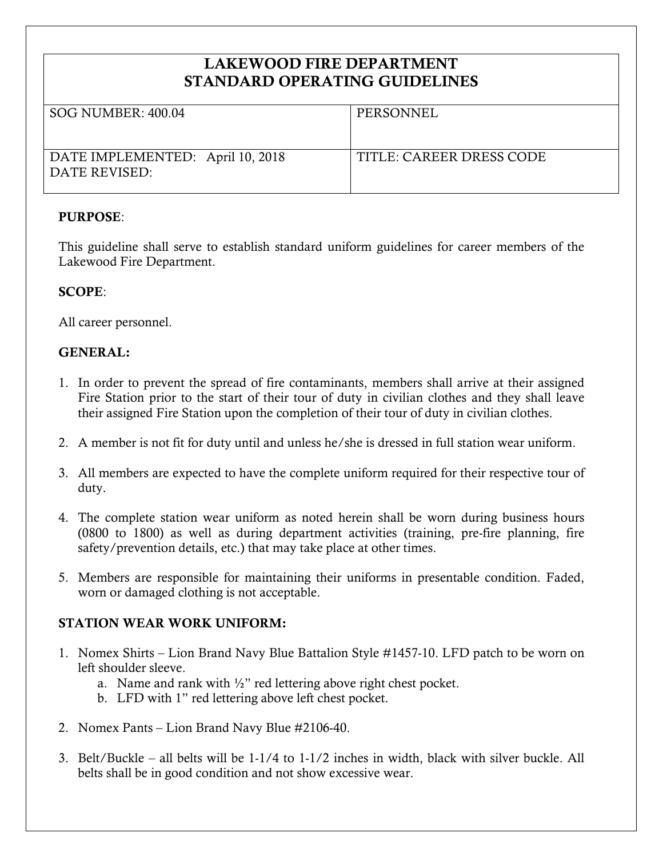# **LAKEWOOD FIRE DEPARTMENT STANDARD OPERATING GUIDELINES**

| SOG NUMBER: 400.04                                | PERSONNEL                |
|---------------------------------------------------|--------------------------|
| DATE IMPLEMENTED: April 10, 2018<br>DATE REVISED: | TITLE: CAREER DRESS CODE |

# **PURPOSE**:

This guideline shall serve to establish standard uniform guidelines for career members of the Lakewood Fire Department.

### **SCOPE**:

All career personnel.

### **GENERAL:**

- 1. In order to prevent the spread of fire contaminants, members shall arrive at their assigned Fire Station prior to the start of their tour of duty in civilian clothes and they shall leave their assigned Fire Station upon the completion of their tour of duty in civilian clothes.
- 2. A member is not fit for duty until and unless he/she is dressed in full station wear uniform.
- 3. All members are expected to have the complete uniform required for their respective tour of duty.
- 4. The complete station wear uniform as noted herein shall be worn during business hours (0800 to 1800) as well as during department activities (training, pre-fire planning, fire safety/prevention details, etc.) that may take place at other times.
- 5. Members are responsible for maintaining their uniforms in presentable condition. Faded, worn or damaged clothing is not acceptable.

# **STATION WEAR WORK UNIFORM:**

- 1. Nomex Shirts Lion Brand Navy Blue Battalion Style #1457-10. LFD patch to be worn on left shoulder sleeve.
	- a. Name and rank with  $\frac{1}{2}$ " red lettering above right chest pocket.
	- b. LFD with 1" red lettering above left chest pocket.
- 2. Nomex Pants Lion Brand Navy Blue #2106-40.
- 3. Belt/Buckle all belts will be 1-1/4 to 1-1/2 inches in width, black with silver buckle. All belts shall be in good condition and not show excessive wear.